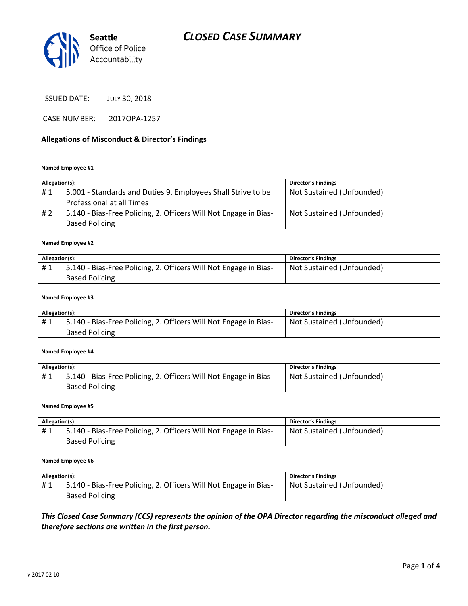# *CLOSED CASE SUMMARY*



ISSUED DATE: JULY 30, 2018

CASE NUMBER: 2017OPA-1257

### **Allegations of Misconduct & Director's Findings**

#### **Named Employee #1**

| Allegation(s): |                                                                  | <b>Director's Findings</b> |
|----------------|------------------------------------------------------------------|----------------------------|
| #1             | 5.001 - Standards and Duties 9. Employees Shall Strive to be     | Not Sustained (Unfounded)  |
|                | Professional at all Times                                        |                            |
| # 2            | 5.140 - Bias-Free Policing, 2. Officers Will Not Engage in Bias- | Not Sustained (Unfounded)  |
|                | <b>Based Policing</b>                                            |                            |

#### **Named Employee #2**

| Allegation(s): |                                                                  | Director's Findings       |
|----------------|------------------------------------------------------------------|---------------------------|
| #1             | 5.140 - Bias-Free Policing, 2. Officers Will Not Engage in Bias- | Not Sustained (Unfounded) |
|                | <b>Based Policing</b>                                            |                           |

#### **Named Employee #3**

| Allegation(s): |                                                                  | Director's Findings       |
|----------------|------------------------------------------------------------------|---------------------------|
| #1             | 5.140 - Bias-Free Policing, 2. Officers Will Not Engage in Bias- | Not Sustained (Unfounded) |
|                | <b>Based Policing</b>                                            |                           |

#### **Named Employee #4**

| Allegation(s): |                                                                  | Director's Findings       |
|----------------|------------------------------------------------------------------|---------------------------|
| #1             | 5.140 - Bias-Free Policing, 2. Officers Will Not Engage in Bias- | Not Sustained (Unfounded) |
|                | <b>Based Policing</b>                                            |                           |

#### **Named Employee #5**

| Allegation(s): |                                                                  | <b>Director's Findings</b> |
|----------------|------------------------------------------------------------------|----------------------------|
| #1             | 5.140 - Bias-Free Policing, 2. Officers Will Not Engage in Bias- | Not Sustained (Unfounded)  |
|                | <b>Based Policing</b>                                            |                            |

#### **Named Employee #6**

| Allegation(s): |                                                                  | <b>Director's Findings</b> |
|----------------|------------------------------------------------------------------|----------------------------|
| #1             | 5.140 - Bias-Free Policing, 2. Officers Will Not Engage in Bias- | Not Sustained (Unfounded)  |
|                | <b>Based Policing</b>                                            |                            |

*This Closed Case Summary (CCS) represents the opinion of the OPA Director regarding the misconduct alleged and therefore sections are written in the first person.*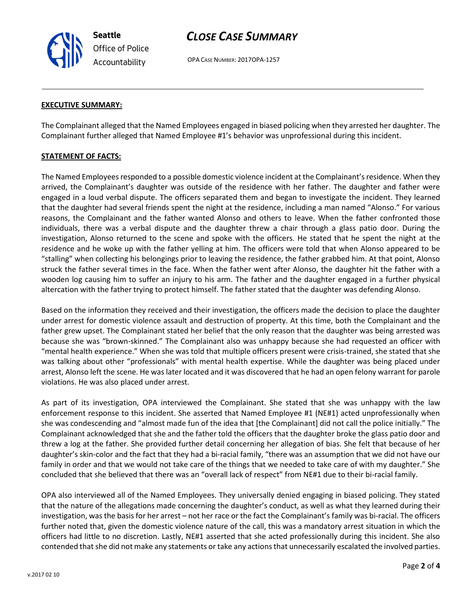**Seattle** *Office of Police Accountability*

# *CLOSE CASE SUMMARY*

OPA CASE NUMBER: 2017OPA-1257

#### **EXECUTIVE SUMMARY:**

The Complainant alleged that the Named Employees engaged in biased policing when they arrested her daughter. The Complainant further alleged that Named Employee #1's behavior was unprofessional during this incident.

#### **STATEMENT OF FACTS:**

The Named Employees responded to a possible domestic violence incident at the Complainant's residence. When they arrived, the Complainant's daughter was outside of the residence with her father. The daughter and father were engaged in a loud verbal dispute. The officers separated them and began to investigate the incident. They learned that the daughter had several friends spent the night at the residence, including a man named "Alonso." For various reasons, the Complainant and the father wanted Alonso and others to leave. When the father confronted those individuals, there was a verbal dispute and the daughter threw a chair through a glass patio door. During the investigation, Alonso returned to the scene and spoke with the officers. He stated that he spent the night at the residence and he woke up with the father yelling at him. The officers were told that when Alonso appeared to be "stalling" when collecting his belongings prior to leaving the residence, the father grabbed him. At that point, Alonso struck the father several times in the face. When the father went after Alonso, the daughter hit the father with a wooden log causing him to suffer an injury to his arm. The father and the daughter engaged in a further physical altercation with the father trying to protect himself. The father stated that the daughter was defending Alonso.

Based on the information they received and their investigation, the officers made the decision to place the daughter under arrest for domestic violence assault and destruction of property. At this time, both the Complainant and the father grew upset. The Complainant stated her belief that the only reason that the daughter was being arrested was because she was "brown-skinned." The Complainant also was unhappy because she had requested an officer with "mental health experience." When she was told that multiple officers present were crisis-trained, she stated that she was talking about other "professionals" with mental health expertise. While the daughter was being placed under arrest, Alonso left the scene. He was later located and it was discovered that he had an open felony warrant for parole violations. He was also placed under arrest.

As part of its investigation, OPA interviewed the Complainant. She stated that she was unhappy with the law enforcement response to this incident. She asserted that Named Employee #1 (NE#1) acted unprofessionally when she was condescending and "almost made fun of the idea that [the Complainant] did not call the police initially." The Complainant acknowledged that she and the father told the officers that the daughter broke the glass patio door and threw a log at the father. She provided further detail concerning her allegation of bias. She felt that because of her daughter's skin-color and the fact that they had a bi-racial family, "there was an assumption that we did not have our family in order and that we would not take care of the things that we needed to take care of with my daughter." She concluded that she believed that there was an "overall lack of respect" from NE#1 due to their bi-racial family.

OPA also interviewed all of the Named Employees. They universally denied engaging in biased policing. They stated that the nature of the allegations made concerning the daughter's conduct, as well as what they learned during their investigation, was the basis for her arrest – not her race or the fact the Complainant's family was bi-racial. The officers further noted that, given the domestic violence nature of the call, this was a mandatory arrest situation in which the officers had little to no discretion. Lastly, NE#1 asserted that she acted professionally during this incident. She also contended that she did not make any statements or take any actions that unnecessarily escalated the involved parties.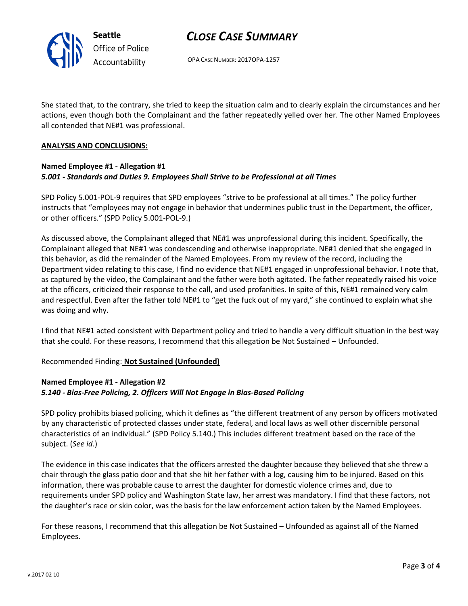

# *CLOSE CASE SUMMARY*

OPA CASE NUMBER: 2017OPA-1257

She stated that, to the contrary, she tried to keep the situation calm and to clearly explain the circumstances and her actions, even though both the Complainant and the father repeatedly yelled over her. The other Named Employees all contended that NE#1 was professional.

### **ANALYSIS AND CONCLUSIONS:**

## **Named Employee #1 - Allegation #1** *5.001 - Standards and Duties 9. Employees Shall Strive to be Professional at all Times*

SPD Policy 5.001-POL-9 requires that SPD employees "strive to be professional at all times." The policy further instructs that "employees may not engage in behavior that undermines public trust in the Department, the officer, or other officers." (SPD Policy 5.001-POL-9.)

As discussed above, the Complainant alleged that NE#1 was unprofessional during this incident. Specifically, the Complainant alleged that NE#1 was condescending and otherwise inappropriate. NE#1 denied that she engaged in this behavior, as did the remainder of the Named Employees. From my review of the record, including the Department video relating to this case, I find no evidence that NE#1 engaged in unprofessional behavior. I note that, as captured by the video, the Complainant and the father were both agitated. The father repeatedly raised his voice at the officers, criticized their response to the call, and used profanities. In spite of this, NE#1 remained very calm and respectful. Even after the father told NE#1 to "get the fuck out of my yard," she continued to explain what she was doing and why.

I find that NE#1 acted consistent with Department policy and tried to handle a very difficult situation in the best way that she could. For these reasons, I recommend that this allegation be Not Sustained – Unfounded.

### Recommended Finding: **Not Sustained (Unfounded)**

## **Named Employee #1 - Allegation #2** *5.140 - Bias-Free Policing, 2. Officers Will Not Engage in Bias-Based Policing*

SPD policy prohibits biased policing, which it defines as "the different treatment of any person by officers motivated by any characteristic of protected classes under state, federal, and local laws as well other discernible personal characteristics of an individual." (SPD Policy 5.140.) This includes different treatment based on the race of the subject. (*See id*.)

The evidence in this case indicates that the officers arrested the daughter because they believed that she threw a chair through the glass patio door and that she hit her father with a log, causing him to be injured. Based on this information, there was probable cause to arrest the daughter for domestic violence crimes and, due to requirements under SPD policy and Washington State law, her arrest was mandatory. I find that these factors, not the daughter's race or skin color, was the basis for the law enforcement action taken by the Named Employees.

For these reasons, I recommend that this allegation be Not Sustained – Unfounded as against all of the Named Employees.